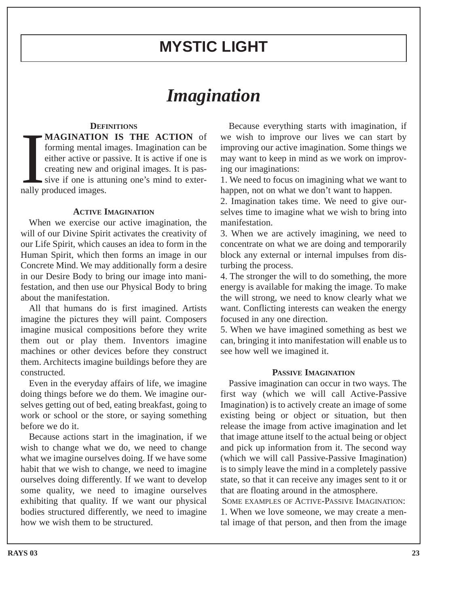# **MYSTIC LIGHT**

# *Imagination*

## **DEFINITIONS**

MAGINATION<br>forming mental i<br>either active or p<br>creating new and<br>sive if one is att<br>nally produced images. **MAGINATION IS THE ACTION** of forming mental images. Imagination can be either active or passive. It is active if one is creating new and original images. It is passive if one is attuning one's mind to exter-

### **ACTIVE IMAGINATION**

When we exercise our active imagination, the will of our Divine Spirit activates the creativity of our Life Spirit, which causes an idea to form in the Human Spirit, which then forms an image in our Concrete Mind. We may additionally form a desire in our Desire Body to bring our image into manifestation, and then use our Physical Body to bring about the manifestation.

All that humans do is first imagined. Artists imagine the pictures they will paint. Composers imagine musical compositions before they write them out or play them. Inventors imagine machines or other devices before they construct them. Architects imagine buildings before they are constructed.

Even in the everyday affairs of life, we imagine doing things before we do them. We imagine ourselves getting out of bed, eating breakfast, going to work or school or the store, or saying something before we do it.

Because actions start in the imagination, if we wish to change what we do, we need to change what we imagine ourselves doing. If we have some habit that we wish to change, we need to imagine ourselves doing differently. If we want to develop some quality, we need to imagine ourselves exhibiting that quality. If we want our physical bodies structured differently, we need to imagine how we wish them to be structured.

Because everything starts with imagination, if we wish to improve our lives we can start by improving our active imagination. Some things we may want to keep in mind as we work on improving our imaginations:

1. We need to focus on imagining what we want to happen, not on what we don't want to happen.

2. Imagination takes time. We need to give ourselves time to imagine what we wish to bring into manifestation.

3. When we are actively imagining, we need to concentrate on what we are doing and temporarily block any external or internal impulses from disturbing the process.

4. The stronger the will to do something, the more energy is available for making the image. To make the will strong, we need to know clearly what we want. Conflicting interests can weaken the energy focused in any one direction.

5. When we have imagined something as best we can, bringing it into manifestation will enable us to see how well we imagined it.

#### **PASSIVE IMAGINATION**

Passive imagination can occur in two ways. The first way (which we will call Active-Passive Imagination) is to actively create an image of some existing being or object or situation, but then release the image from active imagination and let that image attune itself to the actual being or object and pick up information from it. The second way (which we will call Passive-Passive Imagination) is to simply leave the mind in a completely passive state, so that it can receive any images sent to it or that are floating around in the atmosphere.

SOME EXAMPLES OF ACTIVE-PASSIVE IMAGINATION: 1. When we love someone, we may create a mental image of that person, and then from the image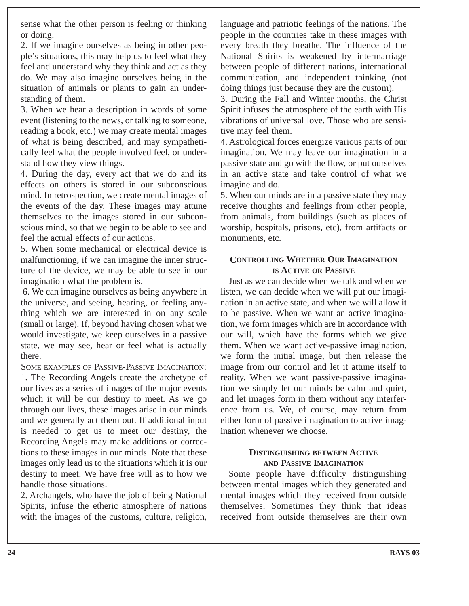sense what the other person is feeling or thinking or doing.

2. If we imagine ourselves as being in other people's situations, this may help us to feel what they feel and understand why they think and act as they do. We may also imagine ourselves being in the situation of animals or plants to gain an understanding of them.

3. When we hear a description in words of some event (listening to the news, or talking to someone, reading a book, etc.) we may create mental images of what is being described, and may sympathetically feel what the people involved feel, or understand how they view things.

4. During the day, every act that we do and its effects on others is stored in our subconscious mind. In retrospection, we create mental images of the events of the day. These images may attune themselves to the images stored in our subconscious mind, so that we begin to be able to see and feel the actual effects of our actions.

5. When some mechanical or electrical device is malfunctioning, if we can imagine the inner structure of the device, we may be able to see in our imagination what the problem is.

6. We can imagine ourselves as being anywhere in the universe, and seeing, hearing, or feeling anything which we are interested in on any scale (small or large). If, beyond having chosen what we would investigate, we keep ourselves in a passive state, we may see, hear or feel what is actually there.

SOME EXAMPLES OF PASSIVE-PASSIVE IMAGINATION: 1. The Recording Angels create the archetype of our lives as a series of images of the major events which it will be our destiny to meet. As we go through our lives, these images arise in our minds and we generally act them out. If additional input is needed to get us to meet our destiny, the Recording Angels may make additions or corrections to these images in our minds. Note that these images only lead us to the situations which it is our destiny to meet. We have free will as to how we handle those situations.

2. Archangels, who have the job of being National Spirits, infuse the etheric atmosphere of nations with the images of the customs, culture, religion, language and patriotic feelings of the nations. The people in the countries take in these images with every breath they breathe. The influence of the National Spirits is weakened by intermarriage between people of different nations, international communication, and independent thinking (not doing things just because they are the custom).

3. During the Fall and Winter months, the Christ Spirit infuses the atmosphere of the earth with His vibrations of universal love. Those who are sensitive may feel them.

4. Astrological forces energize various parts of our imagination. We may leave our imagination in a passive state and go with the flow, or put ourselves in an active state and take control of what we imagine and do.

5. When our minds are in a passive state they may receive thoughts and feelings from other people, from animals, from buildings (such as places of worship, hospitals, prisons, etc), from artifacts or monuments, etc.

## **CONTROLLING WHETHER OUR IMAGINATION IS ACTIVE OR PASSIVE**

Just as we can decide when we talk and when we listen, we can decide when we will put our imagination in an active state, and when we will allow it to be passive. When we want an active imagination, we form images which are in accordance with our will, which have the forms which we give them. When we want active-passive imagination, we form the initial image, but then release the image from our control and let it attune itself to reality. When we want passive-passive imagination we simply let our minds be calm and quiet, and let images form in them without any interference from us. We, of course, may return from either form of passive imagination to active imagination whenever we choose.

# **DISTINGUISHING BETWEEN ACTIVE AND PASSIVE IMAGINATION**

Some people have difficulty distinguishing between mental images which they generated and mental images which they received from outside themselves. Sometimes they think that ideas received from outside themselves are their own